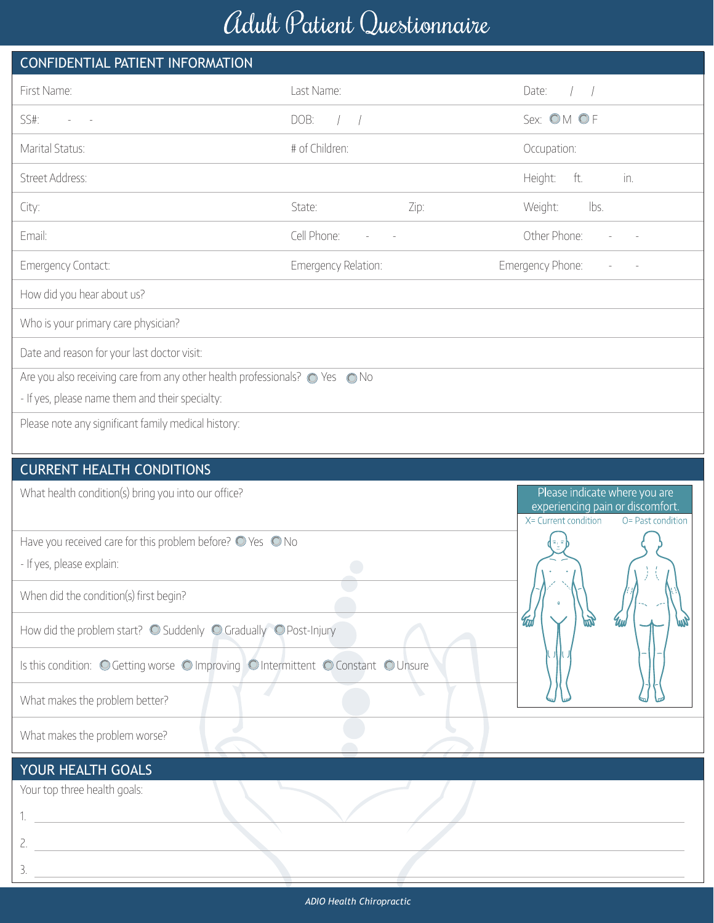## Adult Patient Questionnaire

| CONFIDENTIAL PATIENT INFORMATION                                                                                             |                                |      |                                                                                                                |
|------------------------------------------------------------------------------------------------------------------------------|--------------------------------|------|----------------------------------------------------------------------------------------------------------------|
| First Name:                                                                                                                  | Last Name:                     |      | Date:                                                                                                          |
| SS#:                                                                                                                         | DOB:<br>$\left  \quad \right $ |      | Sex: OM OF                                                                                                     |
| Marital Status:                                                                                                              | # of Children:                 |      | Occupation:                                                                                                    |
| Street Address:                                                                                                              |                                |      | Height:<br>ft.<br>in.                                                                                          |
| City:                                                                                                                        | State:                         | Zip: | Weight:<br>lbs.                                                                                                |
| Email:                                                                                                                       | Cell Phone:                    |      | Other Phone:                                                                                                   |
| Emergency Contact:                                                                                                           | Emergency Relation:            |      | Emergency Phone:                                                                                               |
| How did you hear about us?                                                                                                   |                                |      |                                                                                                                |
| Who is your primary care physician?                                                                                          |                                |      |                                                                                                                |
| Date and reason for your last doctor visit:                                                                                  |                                |      |                                                                                                                |
| Are you also receiving care from any other health professionals? · Yes Mo<br>- If yes, please name them and their specialty: |                                |      |                                                                                                                |
| Please note any significant family medical history:                                                                          |                                |      |                                                                                                                |
| <b>CURRENT HEALTH CONDITIONS</b>                                                                                             |                                |      |                                                                                                                |
| What health condition(s) bring you into our office?                                                                          |                                |      | Please indicate where you are<br>experiencing pain or discomfort.<br>X= Current condition<br>O= Past condition |
| Have you received care for this problem before? O Yes O No                                                                   |                                |      |                                                                                                                |
| - If yes, please explain:                                                                                                    |                                |      |                                                                                                                |

 $\overline{\phantom{a}}$ 

When did the condition(s) first begin?

How did the problem start?  $\bigcirc$  Suddenly  $\bigcirc$  Gradually  $\bigcirc$  Post-Injury

Is this condition: O Getting worse O Improving O Intermittent O Constant O Unsure

What makes the problem better?

What makes the problem worse?

## YOUR HEALTH GOALS

Your top three health goals:

1.

2.